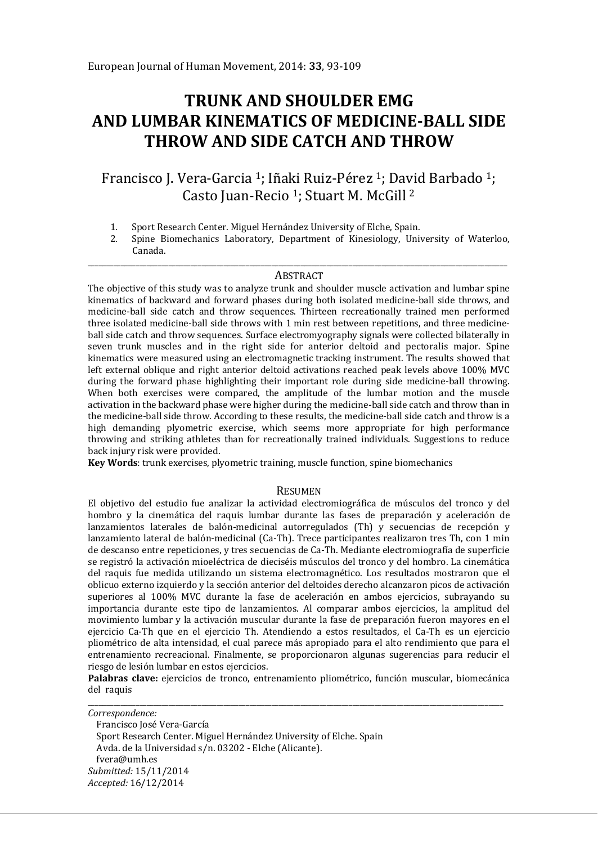# **TRUNK AND SHOULDER EMG AND LUMBAR KINEMATICS OF MEDICINE-BALL SIDE THROW AND SIDE CATCH AND THROW**

Francisco J. Vera-Garcia 1; Iñaki Ruiz-Pérez 1; David Barbado 1; Casto Juan-Recio 1; Stuart M. McGill <sup>2</sup>

- 1. Sport Research Center. Miguel Hernández University of Elche, Spain.<br>2. Spine Biomechanics Laboratory. Department of Kinesiology. Univ
- 2. Spine Biomechanics Laboratory, Department of Kinesiology, University of Waterloo, Canada.

#### \_\_\_\_\_\_\_\_\_\_\_\_\_\_\_\_\_\_\_\_\_\_\_\_\_\_\_\_\_\_\_\_\_\_\_\_\_\_\_\_\_\_\_\_\_\_\_\_\_\_\_\_\_\_\_\_\_\_\_\_\_\_\_\_\_\_\_\_\_\_\_\_\_\_\_\_\_\_\_\_\_\_\_\_\_\_\_\_\_\_\_\_\_\_\_\_\_\_\_\_\_\_\_\_\_\_\_\_\_\_\_\_\_\_ ABSTRACT

The objective of this study was to analyze trunk and shoulder muscle activation and lumbar spine kinematics of backward and forward phases during both isolated medicine-ball side throws, and medicine-ball side catch and throw sequences. Thirteen recreationally trained men performed three isolated medicine-ball side throws with 1 min rest between repetitions, and three medicineball side catch and throw sequences. Surface electromyography signals were collected bilaterally in seven trunk muscles and in the right side for anterior deltoid and pectoralis major. Spine kinematics were measured using an electromagnetic tracking instrument. The results showed that left external oblique and right anterior deltoid activations reached peak levels above 100% MVC during the forward phase highlighting their important role during side medicine-ball throwing. When both exercises were compared, the amplitude of the lumbar motion and the muscle activation in the backward phase were higher during the medicine-ball side catch and throw than in the medicine-ball side throw. According to these results, the medicine-ball side catch and throw is a high demanding plyometric exercise, which seems more appropriate for high performance throwing and striking athletes than for recreationally trained individuals. Suggestions to reduce back injury risk were provided.

**Key Words**: trunk exercises, plyometric training, muscle function, spine biomechanics

#### RESUMEN

El objetivo del estudio fue analizar la actividad electromiográfica de músculos del tronco y del hombro y la cinemática del raquis lumbar durante las fases de preparación y aceleración de lanzamientos laterales de balón-medicinal autorregulados (Th) y secuencias de recepción y lanzamiento lateral de balón-medicinal (Ca-Th). Trece participantes realizaron tres Th, con 1 min de descanso entre repeticiones, y tres secuencias de Ca-Th. Mediante electromiografía de superficie se registró la activación mioeléctrica de dieciséis músculos del tronco y del hombro. La cinemática del raquis fue medida utilizando un sistema electromagnético. Los resultados mostraron que el oblicuo externo izquierdo y la sección anterior del deltoides derecho alcanzaron picos de activación superiores al 100% MVC durante la fase de aceleración en ambos ejercicios, subrayando su importancia durante este tipo de lanzamientos. Al comparar ambos ejercicios, la amplitud del movimiento lumbar y la activación muscular durante la fase de preparación fueron mayores en el ejercicio Ca-Th que en el ejercicio Th. Atendiendo a estos resultados, el Ca-Th es un ejercicio pliométrico de alta intensidad, el cual parece más apropiado para el alto rendimiento que para el entrenamiento recreacional. Finalmente, se proporcionaron algunas sugerencias para reducir el riesgo de lesión lumbar en estos ejercicios.

**Palabras clave:** ejercicios de tronco, entrenamiento pliométrico, función muscular, biomecánica del raquis

\_\_\_\_\_\_\_\_\_\_\_\_\_\_\_\_\_\_\_\_\_\_\_\_\_\_\_\_\_\_\_\_\_\_\_\_\_\_\_\_\_\_\_\_\_\_\_\_\_\_\_\_\_\_\_\_\_\_\_\_\_\_\_\_\_\_\_\_\_\_\_\_\_\_\_\_\_\_\_\_\_\_\_\_\_\_\_\_\_\_\_\_\_\_\_\_\_\_\_\_\_\_\_\_\_\_\_\_\_\_\_\_\_ *Correspondence:*  Francisco José Vera-García Sport Research Center. Miguel Hernández University of Elche. Spain Avda. de la Universidad s/n. 03202 - Elche (Alicante). fvera@umh.es *Submitted:* 15/11/2014 *Accepted:* 16/12/2014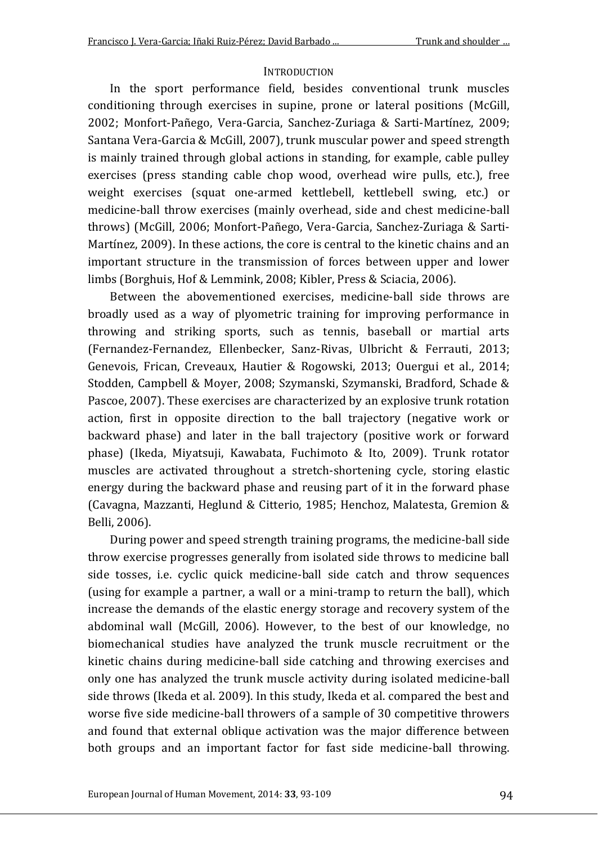### **INTRODUCTION**

In the sport performance field, besides conventional trunk muscles conditioning through exercises in supine, prone or lateral positions (McGill, 2002; Monfort-Pañego, Vera-Garcia, Sanchez-Zuriaga & Sarti-Martínez, 2009; Santana Vera-Garcia & McGill, 2007), trunk muscular power and speed strength is mainly trained through global actions in standing, for example, cable pulley exercises (press standing cable chop wood, overhead wire pulls, etc.), free weight exercises (squat one-armed kettlebell, kettlebell swing, etc.) or medicine-ball throw exercises (mainly overhead, side and chest medicine-ball throws) (McGill, 2006; Monfort-Pañego, Vera-Garcia, Sanchez-Zuriaga & Sarti-Martínez, 2009). In these actions, the core is central to the kinetic chains and an important structure in the transmission of forces between upper and lower limbs (Borghuis, Hof & Lemmink, 2008; Kibler, Press & Sciacia, 2006).

Between the abovementioned exercises, medicine-ball side throws are broadly used as a way of plyometric training for improving performance in throwing and striking sports, such as tennis, baseball or martial arts (Fernandez-Fernandez, Ellenbecker, Sanz-Rivas, Ulbricht & Ferrauti, 2013; Genevois, Frican, Creveaux, Hautier & Rogowski, 2013; Ouergui et al., 2014; Stodden, Campbell & Moyer, 2008; Szymanski, Szymanski, Bradford, Schade & Pascoe, 2007). These exercises are characterized by an explosive trunk rotation action, first in opposite direction to the ball trajectory (negative work or backward phase) and later in the ball trajectory (positive work or forward phase) (Ikeda, Miyatsuji, Kawabata, Fuchimoto & Ito, 2009). Trunk rotator muscles are activated throughout a stretch-shortening cycle, storing elastic energy during the backward phase and reusing part of it in the forward phase (Cavagna, Mazzanti, Heglund & Citterio, 1985; Henchoz, Malatesta, Gremion & Belli, 2006).

During power and speed strength training programs, the medicine-ball side throw exercise progresses generally from isolated side throws to medicine ball side tosses, i.e. cyclic quick medicine-ball side catch and throw sequences (using for example a partner, a wall or a mini-tramp to return the ball), which increase the demands of the elastic energy storage and recovery system of the abdominal wall (McGill, 2006). However, to the best of our knowledge, no biomechanical studies have analyzed the trunk muscle recruitment or the kinetic chains during medicine-ball side catching and throwing exercises and only one has analyzed the trunk muscle activity during isolated medicine-ball side throws (Ikeda et al. 2009). In this study, Ikeda et al. compared the best and worse five side medicine-ball throwers of a sample of 30 competitive throwers and found that external oblique activation was the major difference between both groups and an important factor for fast side medicine-ball throwing.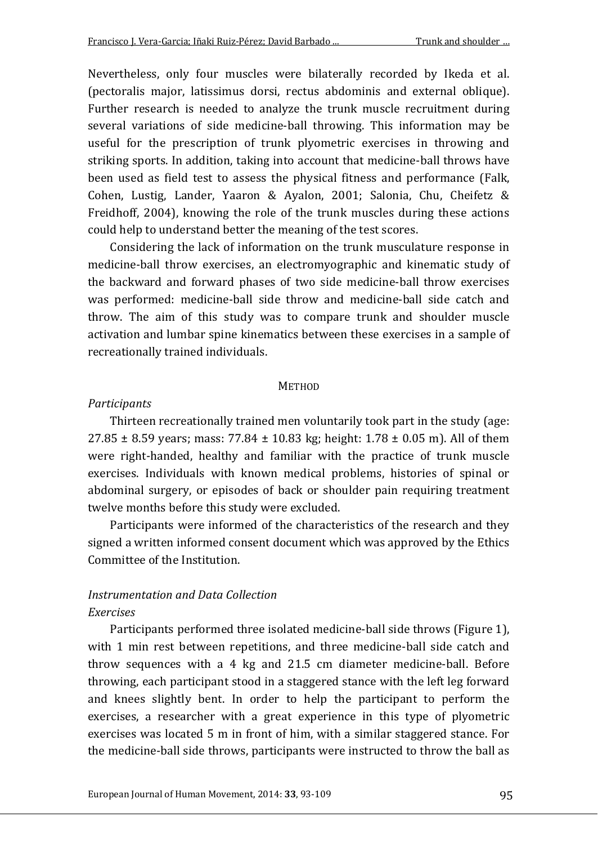Nevertheless, only four muscles were bilaterally recorded by Ikeda et al. (pectoralis major, latissimus dorsi, rectus abdominis and external oblique). Further research is needed to analyze the trunk muscle recruitment during several variations of side medicine-ball throwing. This information may be useful for the prescription of trunk plyometric exercises in throwing and striking sports. In addition, taking into account that medicine-ball throws have been used as field test to assess the physical fitness and performance (Falk, Cohen, Lustig, Lander, Yaaron & Ayalon, 2001; Salonia, Chu, Cheifetz & Freidhoff, 2004), knowing the role of the trunk muscles during these actions could help to understand better the meaning of the test scores.

Considering the lack of information on the trunk musculature response in medicine-ball throw exercises, an electromyographic and kinematic study of the backward and forward phases of two side medicine-ball throw exercises was performed: medicine-ball side throw and medicine-ball side catch and throw. The aim of this study was to compare trunk and shoulder muscle activation and lumbar spine kinematics between these exercises in a sample of recreationally trained individuals.

#### **METHOD**

#### *Participants*

Thirteen recreationally trained men voluntarily took part in the study (age: 27.85  $\pm$  8.59 years; mass: 77.84  $\pm$  10.83 kg; height: 1.78  $\pm$  0.05 m). All of them were right-handed, healthy and familiar with the practice of trunk muscle exercises. Individuals with known medical problems, histories of spinal or abdominal surgery, or episodes of back or shoulder pain requiring treatment twelve months before this study were excluded.

Participants were informed of the characteristics of the research and they signed a written informed consent document which was approved by the Ethics Committee of the Institution.

# *Instrumentation and Data Collection Exercises*

Participants performed three isolated medicine-ball side throws (Figure 1), with 1 min rest between repetitions, and three medicine-ball side catch and throw sequences with a 4 kg and 21.5 cm diameter medicine-ball. Before throwing, each participant stood in a staggered stance with the left leg forward and knees slightly bent. In order to help the participant to perform the exercises, a researcher with a great experience in this type of plyometric exercises was located 5 m in front of him, with a similar staggered stance. For the medicine-ball side throws, participants were instructed to throw the ball as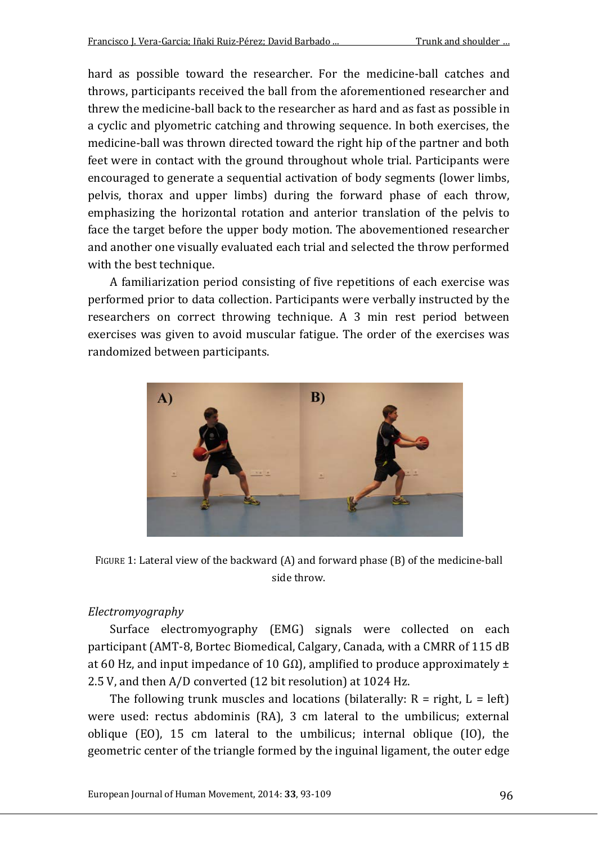hard as possible toward the researcher. For the medicine-ball catches and throws, participants received the ball from the aforementioned researcher and threw the medicine-ball back to the researcher as hard and as fast as possible in a cyclic and plyometric catching and throwing sequence. In both exercises, the medicine-ball was thrown directed toward the right hip of the partner and both feet were in contact with the ground throughout whole trial. Participants were encouraged to generate a sequential activation of body segments (lower limbs, pelvis, thorax and upper limbs) during the forward phase of each throw, emphasizing the horizontal rotation and anterior translation of the pelvis to face the target before the upper body motion. The abovementioned researcher and another one visually evaluated each trial and selected the throw performed with the best technique.

A familiarization period consisting of five repetitions of each exercise was performed prior to data collection. Participants were verbally instructed by the researchers on correct throwing technique. A 3 min rest period between exercises was given to avoid muscular fatigue. The order of the exercises was randomized between participants.



FIGURE 1: Lateral view of the backward (A) and forward phase (B) of the medicine-ball side throw.

#### *Electromyography*

Surface electromyography (EMG) signals were collected on each participant (AMT-8, Bortec Biomedical, Calgary, Canada, with a CMRR of 115 dB at 60 Hz, and input impedance of 10 GΩ), amplified to produce approximately  $±$ 2.5 V, and then A/D converted (12 bit resolution) at 1024 Hz.

The following trunk muscles and locations (bilaterally:  $R = right$ ,  $L = left$ ) were used: rectus abdominis (RA), 3 cm lateral to the umbilicus; external oblique (EO), 15 cm lateral to the umbilicus; internal oblique (IO), the geometric center of the triangle formed by the inguinal ligament, the outer edge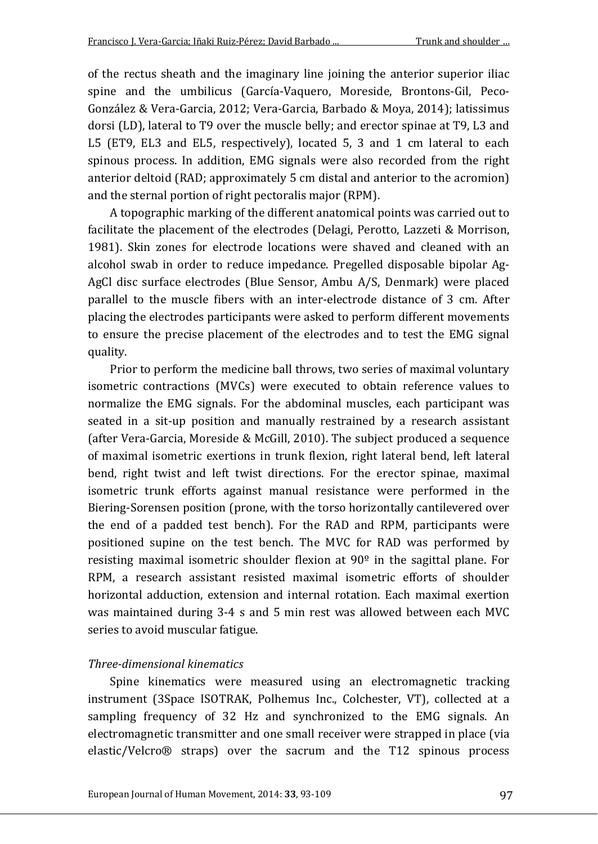of the rectus sheath and the imaginary line joining the anterior superior iliac spine and the umbilicus (García-Vaquero, Moreside, Brontons-Gil, Peco-González & Vera-Garcia, 2012; Vera-Garcia, Barbado & Moya, 2014); latissimus dorsi (LD), lateral to T9 over the muscle belly; and erector spinae at T9, L3 and L5 (ET9, EL3 and EL5, respectively), located 5, 3 and 1 cm lateral to each spinous process. In addition, EMG signals were also recorded from the right anterior deltoid (RAD; approximately 5 cm distal and anterior to the acromion) and the sternal portion of right pectoralis major (RPM).

A topographic marking of the different anatomical points was carried out to facilitate the placement of the electrodes (Delagi, Perotto, Lazzeti & Morrison, 1981). Skin zones for electrode locations were shaved and cleaned with an alcohol swab in order to reduce impedance. Pregelled disposable bipolar Ag-AgCl disc surface electrodes (Blue Sensor, Ambu A/S, Denmark) were placed parallel to the muscle fibers with an inter-electrode distance of 3 cm. After placing the electrodes participants were asked to perform different movements to ensure the precise placement of the electrodes and to test the EMG signal quality.

Prior to perform the medicine ball throws, two series of maximal voluntary isometric contractions (MVCs) were executed to obtain reference values to normalize the EMG signals. For the abdominal muscles, each participant was seated in a sit-up position and manually restrained by a research assistant (after Vera-Garcia, Moreside & McGill, 2010). The subject produced a sequence of maximal isometric exertions in trunk flexion, right lateral bend, left lateral bend, right twist and left twist directions. For the erector spinae, maximal isometric trunk efforts against manual resistance were performed in the Biering-Sorensen position (prone, with the torso horizontally cantilevered over the end of a padded test bench). For the RAD and RPM, participants were positioned supine on the test bench. The MVC for RAD was performed by resisting maximal isometric shoulder flexion at  $90^\circ$  in the sagittal plane. For RPM, a research assistant resisted maximal isometric efforts of shoulder horizontal adduction, extension and internal rotation. Each maximal exertion was maintained during 3-4 s and 5 min rest was allowed between each MVC series to avoid muscular fatigue.

### *Three-dimensional kinematics*

Spine kinematics were measured using an electromagnetic tracking instrument (3Space ISOTRAK, Polhemus Inc., Colchester, VT), collected at a sampling frequency of 32 Hz and synchronized to the EMG signals. An electromagnetic transmitter and one small receiver were strapped in place (via elastic/Velcro® straps) over the sacrum and the T12 spinous process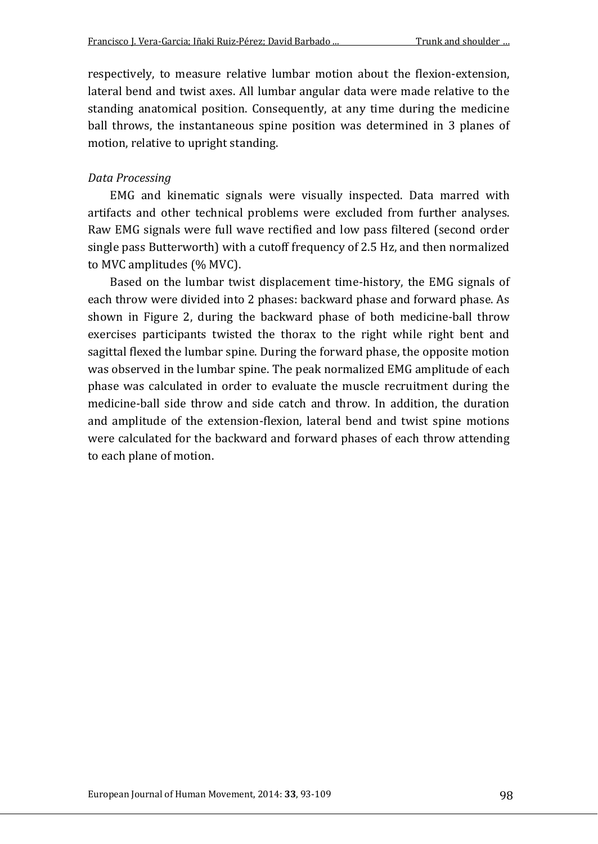respectively, to measure relative lumbar motion about the flexion-extension, lateral bend and twist axes. All lumbar angular data were made relative to the standing anatomical position. Consequently, at any time during the medicine ball throws, the instantaneous spine position was determined in 3 planes of motion, relative to upright standing.

### *Data Processing*

EMG and kinematic signals were visually inspected. Data marred with artifacts and other technical problems were excluded from further analyses. Raw EMG signals were full wave rectified and low pass filtered (second order single pass Butterworth) with a cutoff frequency of 2.5 Hz, and then normalized to MVC amplitudes (% MVC).

Based on the lumbar twist displacement time-history, the EMG signals of each throw were divided into 2 phases: backward phase and forward phase. As shown in Figure 2, during the backward phase of both medicine-ball throw exercises participants twisted the thorax to the right while right bent and sagittal flexed the lumbar spine. During the forward phase, the opposite motion was observed in the lumbar spine. The peak normalized EMG amplitude of each phase was calculated in order to evaluate the muscle recruitment during the medicine-ball side throw and side catch and throw. In addition, the duration and amplitude of the extension-flexion, lateral bend and twist spine motions were calculated for the backward and forward phases of each throw attending to each plane of motion.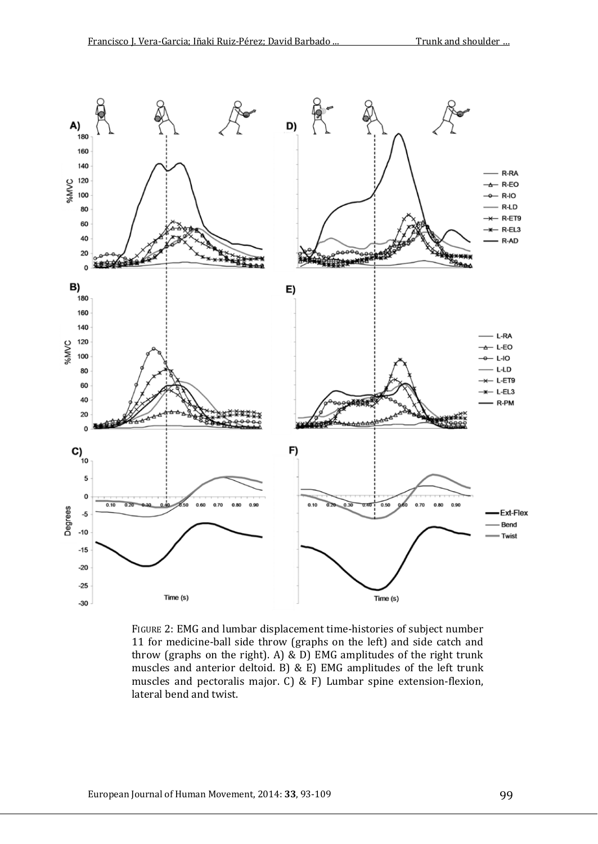

FIGURE 2: EMG and lumbar displacement time-histories of subject number 11 for medicine-ball side throw (graphs on the left) and side catch and throw (graphs on the right). A) & D) EMG amplitudes of the right trunk muscles and anterior deltoid. B) & E) EMG amplitudes of the left trunk muscles and pectoralis major. C) & F) Lumbar spine extension-flexion, lateral bend and twist.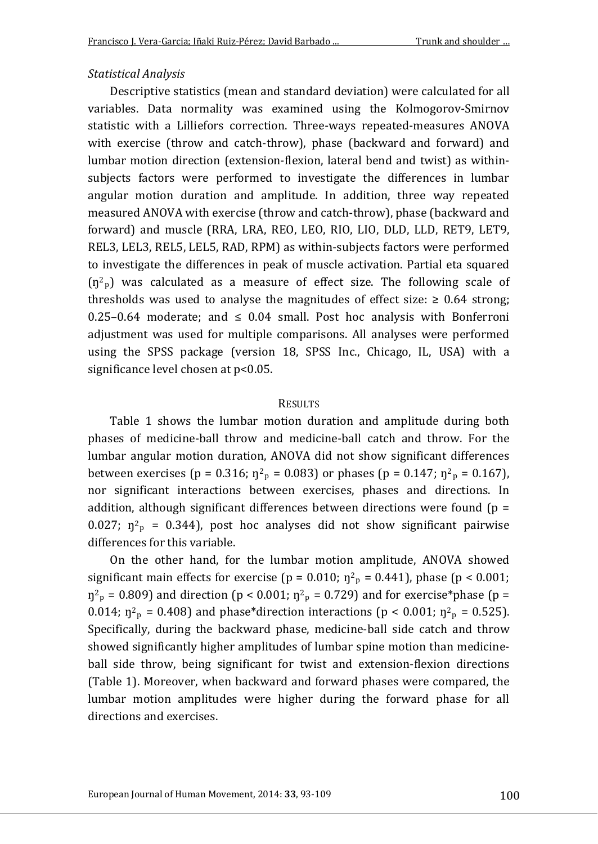#### *Statistical Analysis*

Descriptive statistics (mean and standard deviation) were calculated for all variables. Data normality was examined using the Kolmogorov-Smirnov statistic with a Lilliefors correction. Three-ways repeated-measures ANOVA with exercise (throw and catch-throw), phase (backward and forward) and lumbar motion direction (extension-flexion, lateral bend and twist) as withinsubjects factors were performed to investigate the differences in lumbar angular motion duration and amplitude. In addition, three way repeated measured ANOVA with exercise (throw and catch-throw), phase (backward and forward) and muscle (RRA, LRA, REO, LEO, RIO, LIO, DLD, LLD, RET9, LET9, REL3, LEL3, REL5, LEL5, RAD, RPM) as within-subjects factors were performed to investigate the differences in peak of muscle activation. Partial eta squared  $(n<sup>2</sup>p)$  was calculated as a measure of effect size. The following scale of thresholds was used to analyse the magnitudes of effect size:  $\geq 0.64$  strong; 0.25–0.64 moderate; and  $\leq$  0.04 small. Post hoc analysis with Bonferroni adjustment was used for multiple comparisons. All analyses were performed using the SPSS package (version 18, SPSS Inc., Chicago, IL, USA) with a significance level chosen at p<0.05.

#### RESULTS

Table 1 shows the lumbar motion duration and amplitude during both phases of medicine-ball throw and medicine-ball catch and throw. For the lumbar angular motion duration, ANOVA did not show significant differences between exercises (p = 0.316;  $\eta^2$ <sub>p</sub> = 0.083) or phases (p = 0.147;  $\eta^2$ <sub>p</sub> = 0.167), nor significant interactions between exercises, phases and directions. In addition, although significant differences between directions were found  $(p =$ 0.027;  $\eta^2$ <sub>p</sub> = 0.344), post hoc analyses did not show significant pairwise differences for this variable.

On the other hand, for the lumbar motion amplitude, ANOVA showed significant main effects for exercise ( $p = 0.010$ ;  $\eta^2$ <sub>p</sub> = 0.441), phase ( $p < 0.001$ ;  $\eta^2$ <sub>p</sub> = 0.809) and direction (p < 0.001;  $\eta^2$ <sub>p</sub> = 0.729) and for exercise\*phase (p = 0.014;  $\eta^2$ <sub>p</sub> = 0.408) and phase\*direction interactions (p < 0.001;  $\eta^2$ <sub>p</sub> = 0.525). Specifically, during the backward phase, medicine-ball side catch and throw showed significantly higher amplitudes of lumbar spine motion than medicineball side throw, being significant for twist and extension-flexion directions (Table 1). Moreover, when backward and forward phases were compared, the lumbar motion amplitudes were higher during the forward phase for all directions and exercises.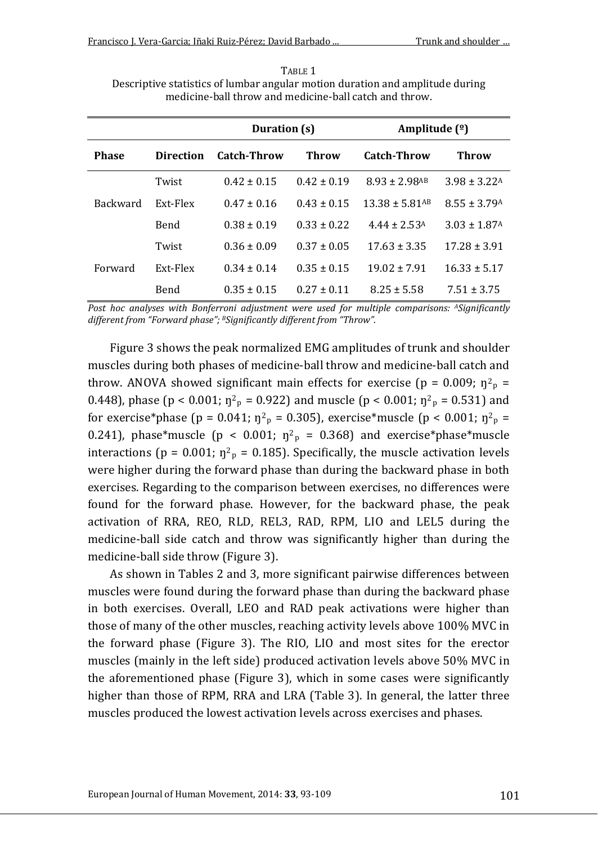TABLE 1 Descriptive statistics of lumbar angular motion duration and amplitude during medicine-ball throw and medicine-ball catch and throw.

|                 |                  | Duration (s)    |                 | Amplitude $(2)$                |                              |
|-----------------|------------------|-----------------|-----------------|--------------------------------|------------------------------|
| <b>Phase</b>    | <b>Direction</b> | Catch-Throw     | Throw           | <b>Catch-Throw</b>             | Throw                        |
| <b>Backward</b> | Twist            | $0.42 \pm 0.15$ | $0.42 \pm 0.19$ | $8.93 \pm 2.98$ <sup>AB</sup>  | $3.98 \pm 3.22$ <sup>A</sup> |
|                 | Ext-Flex         | $0.47 + 0.16$   | $0.43 + 0.15$   | $13.38 \pm 5.81$ <sup>AB</sup> | $8.55 \pm 3.79$ <sup>A</sup> |
|                 | <b>Bend</b>      | $0.38 \pm 0.19$ | $0.33 \pm 0.22$ | $4.44 \pm 2.53$ <sup>A</sup>   | $3.03 \pm 1.87$ <sup>A</sup> |
| Forward         | Twist            | $0.36 \pm 0.09$ | $0.37 \pm 0.05$ | $17.63 \pm 3.35$               | $17.28 \pm 3.91$             |
|                 | Ext-Flex         | $0.34 \pm 0.14$ | $0.35 \pm 0.15$ | $19.02 \pm 7.91$               | $16.33 \pm 5.17$             |
|                 | Bend             | $0.35 \pm 0.15$ | $0.27 \pm 0.11$ | $8.25 \pm 5.58$                | $7.51 \pm 3.75$              |

*Post hoc analyses with Bonferroni adjustment were used for multiple comparisons: ASignificantly different from "Forward phase"; BSignificantly different from "Throw".*

Figure 3 shows the peak normalized EMG amplitudes of trunk and shoulder muscles during both phases of medicine-ball throw and medicine-ball catch and throw. ANOVA showed significant main effects for exercise ( $p = 0.009$ ;  $\eta^2$ <sub>p</sub> = 0.448), phase (p < 0.001;  $\eta^2$ <sub>p</sub> = 0.922) and muscle (p < 0.001;  $\eta^2$ <sub>p</sub> = 0.531) and for exercise\*phase (p = 0.041;  $\eta^2$ <sub>p</sub> = 0.305), exercise\*muscle (p < 0.001;  $\eta^2$ <sub>p</sub> = 0.241), phase\*muscle ( $p < 0.001$ ;  $\eta^2$ <sub>p</sub> = 0.368) and exercise\*phase\*muscle interactions ( $p = 0.001$ ;  $\eta^2$ <sub>p</sub> = 0.185). Specifically, the muscle activation levels were higher during the forward phase than during the backward phase in both exercises. Regarding to the comparison between exercises, no differences were found for the forward phase. However, for the backward phase, the peak activation of RRA, REO, RLD, REL3, RAD, RPM, LIO and LEL5 during the medicine-ball side catch and throw was significantly higher than during the medicine-ball side throw (Figure 3).

As shown in Tables 2 and 3, more significant pairwise differences between muscles were found during the forward phase than during the backward phase in both exercises. Overall, LEO and RAD peak activations were higher than those of many of the other muscles, reaching activity levels above 100% MVC in the forward phase (Figure 3). The RIO, LIO and most sites for the erector muscles (mainly in the left side) produced activation levels above 50% MVC in the aforementioned phase (Figure 3), which in some cases were significantly higher than those of RPM, RRA and LRA (Table 3). In general, the latter three muscles produced the lowest activation levels across exercises and phases.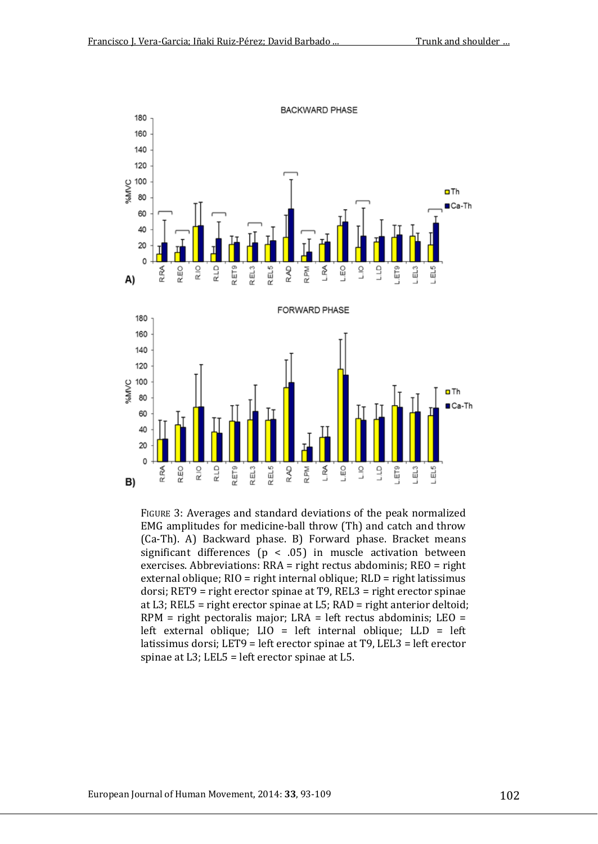

FIGURE 3: Averages and standard deviations of the peak normalized EMG amplitudes for medicine-ball throw (Th) and catch and throw (Ca-Th). A) Backward phase. B) Forward phase. Bracket means significant differences ( $p < .05$ ) in muscle activation between exercises. Abbreviations: RRA = right rectus abdominis; REO = right external oblique; RIO = right internal oblique; RLD = right latissimus dorsi; RET9 = right erector spinae at T9, REL3 = right erector spinae at L3; REL5 = right erector spinae at L5; RAD = right anterior deltoid; RPM = right pectoralis major; LRA = left rectus abdominis; LEO = left external oblique; LIO = left internal oblique; LLD = left latissimus dorsi; LET9 = left erector spinae at T9, LEL3 = left erector spinae at L3; LEL5 = left erector spinae at L5.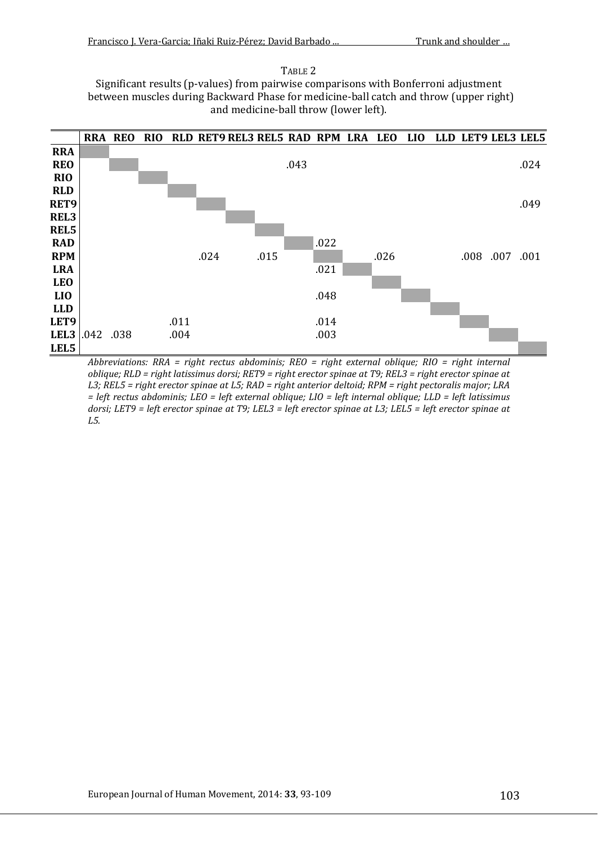#### TABLE 2

Significant results (p-values) from pairwise comparisons with Bonferroni adjustment between muscles during Backward Phase for medicine-ball catch and throw (upper right) and medicine-ball throw (lower left).



*Abbreviations: RRA = right rectus abdominis; REO = right external oblique; RIO = right internal oblique; RLD = right latissimus dorsi; RET9 = right erector spinae at T9; REL3 = right erector spinae at L3; REL5 = right erector spinae at L5; RAD = right anterior deltoid; RPM = right pectoralis major; LRA = left rectus abdominis; LEO = left external oblique; LIO = left internal oblique; LLD = left latissimus dorsi; LET9 = left erector spinae at T9; LEL3 = left erector spinae at L3; LEL5 = left erector spinae at L5.*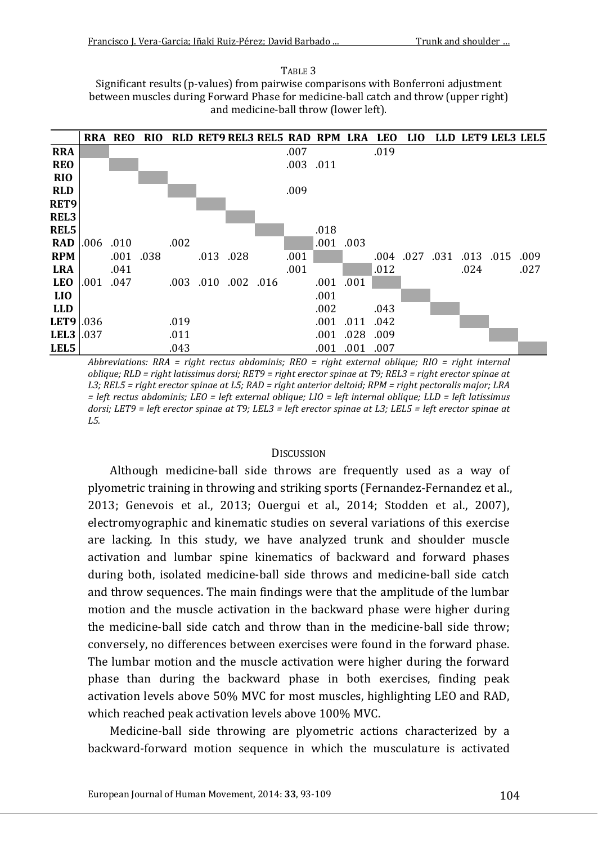TABLE 3 Significant results (p-values) from pairwise comparisons with Bonferroni adjustment between muscles during Forward Phase for medicine-ball catch and throw (upper right) and medicine-ball throw (lower left).



*Abbreviations: RRA = right rectus abdominis; REO = right external oblique; RIO = right internal oblique; RLD = right latissimus dorsi; RET9 = right erector spinae at T9; REL3 = right erector spinae at L3; REL5 = right erector spinae at L5; RAD = right anterior deltoid; RPM = right pectoralis major; LRA = left rectus abdominis; LEO = left external oblique; LIO = left internal oblique; LLD = left latissimus*  dorsi; LET9 = left erector spinae at T9; LEL3 = left erector spinae at L3; LEL5 = left erector spinae at *L5.*

#### **DISCUSSION**

Although medicine-ball side throws are frequently used as a way of plyometric training in throwing and striking sports (Fernandez-Fernandez et al., 2013; Genevois et al., 2013; Ouergui et al., 2014; Stodden et al., 2007), electromyographic and kinematic studies on several variations of this exercise are lacking. In this study, we have analyzed trunk and shoulder muscle activation and lumbar spine kinematics of backward and forward phases during both, isolated medicine-ball side throws and medicine-ball side catch and throw sequences. The main findings were that the amplitude of the lumbar motion and the muscle activation in the backward phase were higher during the medicine-ball side catch and throw than in the medicine-ball side throw; conversely, no differences between exercises were found in the forward phase. The lumbar motion and the muscle activation were higher during the forward phase than during the backward phase in both exercises, finding peak activation levels above 50% MVC for most muscles, highlighting LEO and RAD, which reached peak activation levels above 100% MVC.

Medicine-ball side throwing are plyometric actions characterized by a backward-forward motion sequence in which the musculature is activated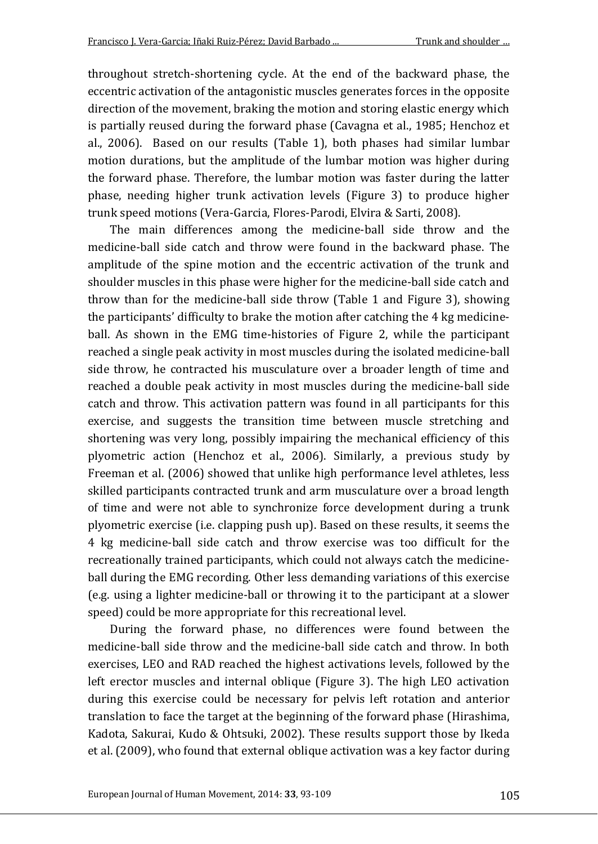throughout stretch-shortening cycle. At the end of the backward phase, the eccentric activation of the antagonistic muscles generates forces in the opposite direction of the movement, braking the motion and storing elastic energy which is partially reused during the forward phase (Cavagna et al., 1985; Henchoz et al., 2006). Based on our results (Table 1), both phases had similar lumbar motion durations, but the amplitude of the lumbar motion was higher during the forward phase. Therefore, the lumbar motion was faster during the latter phase, needing higher trunk activation levels (Figure 3) to produce higher trunk speed motions (Vera-Garcia, Flores-Parodi, Elvira & Sarti, 2008).

The main differences among the medicine-ball side throw and the medicine-ball side catch and throw were found in the backward phase. The amplitude of the spine motion and the eccentric activation of the trunk and shoulder muscles in this phase were higher for the medicine-ball side catch and throw than for the medicine-ball side throw (Table 1 and Figure 3), showing the participants' difficulty to brake the motion after catching the 4 kg medicineball. As shown in the EMG time-histories of Figure 2, while the participant reached a single peak activity in most muscles during the isolated medicine-ball side throw, he contracted his musculature over a broader length of time and reached a double peak activity in most muscles during the medicine-ball side catch and throw. This activation pattern was found in all participants for this exercise, and suggests the transition time between muscle stretching and shortening was very long, possibly impairing the mechanical efficiency of this plyometric action (Henchoz et al., 2006). Similarly, a previous study by Freeman et al. (2006) showed that unlike high performance level athletes, less skilled participants contracted trunk and arm musculature over a broad length of time and were not able to synchronize force development during a trunk plyometric exercise (i.e. clapping push up). Based on these results, it seems the 4 kg medicine-ball side catch and throw exercise was too difficult for the recreationally trained participants, which could not always catch the medicineball during the EMG recording. Other less demanding variations of this exercise (e.g. using a lighter medicine-ball or throwing it to the participant at a slower speed) could be more appropriate for this recreational level.

During the forward phase, no differences were found between the medicine-ball side throw and the medicine-ball side catch and throw. In both exercises, LEO and RAD reached the highest activations levels, followed by the left erector muscles and internal oblique (Figure 3). The high LEO activation during this exercise could be necessary for pelvis left rotation and anterior translation to face the target at the beginning of the forward phase (Hirashima, Kadota, Sakurai, Kudo & Ohtsuki, 2002). These results support those by Ikeda et al. (2009), who found that external oblique activation was a key factor during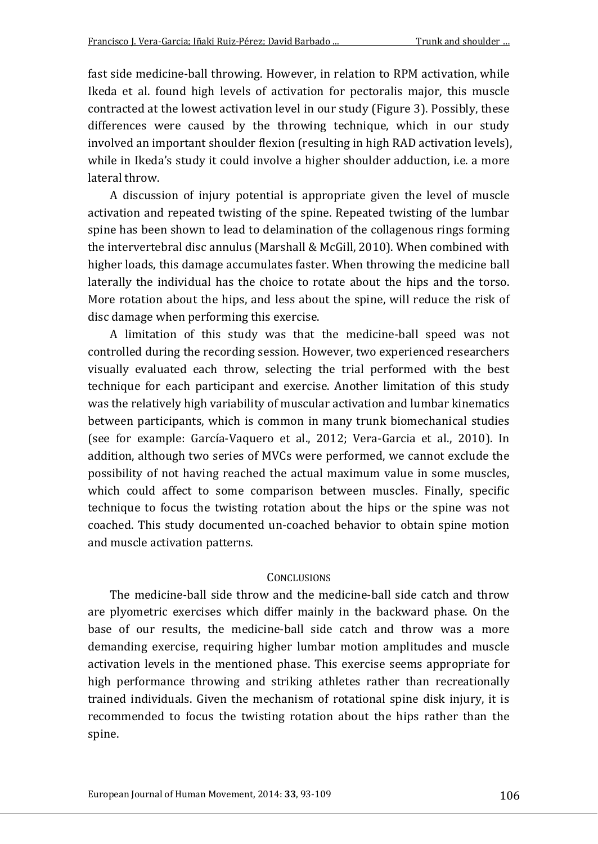fast side medicine-ball throwing. However, in relation to RPM activation, while Ikeda et al. found high levels of activation for pectoralis major, this muscle contracted at the lowest activation level in our study (Figure 3). Possibly, these differences were caused by the throwing technique, which in our study involved an important shoulder flexion (resulting in high RAD activation levels), while in Ikeda's study it could involve a higher shoulder adduction, i.e. a more lateral throw.

A discussion of injury potential is appropriate given the level of muscle activation and repeated twisting of the spine. Repeated twisting of the lumbar spine has been shown to lead to delamination of the collagenous rings forming the intervertebral disc annulus (Marshall & McGill, 2010). When combined with higher loads, this damage accumulates faster. When throwing the medicine ball laterally the individual has the choice to rotate about the hips and the torso. More rotation about the hips, and less about the spine, will reduce the risk of disc damage when performing this exercise.

A limitation of this study was that the medicine-ball speed was not controlled during the recording session. However, two experienced researchers visually evaluated each throw, selecting the trial performed with the best technique for each participant and exercise. Another limitation of this study was the relatively high variability of muscular activation and lumbar kinematics between participants, which is common in many trunk biomechanical studies (see for example: García-Vaquero et al., 2012; Vera-Garcia et al., 2010). In addition, although two series of MVCs were performed, we cannot exclude the possibility of not having reached the actual maximum value in some muscles, which could affect to some comparison between muscles. Finally, specific technique to focus the twisting rotation about the hips or the spine was not coached. This study documented un-coached behavior to obtain spine motion and muscle activation patterns.

#### **CONCLUSIONS**

The medicine-ball side throw and the medicine-ball side catch and throw are plyometric exercises which differ mainly in the backward phase. On the base of our results, the medicine-ball side catch and throw was a more demanding exercise, requiring higher lumbar motion amplitudes and muscle activation levels in the mentioned phase. This exercise seems appropriate for high performance throwing and striking athletes rather than recreationally trained individuals. Given the mechanism of rotational spine disk injury, it is recommended to focus the twisting rotation about the hips rather than the spine.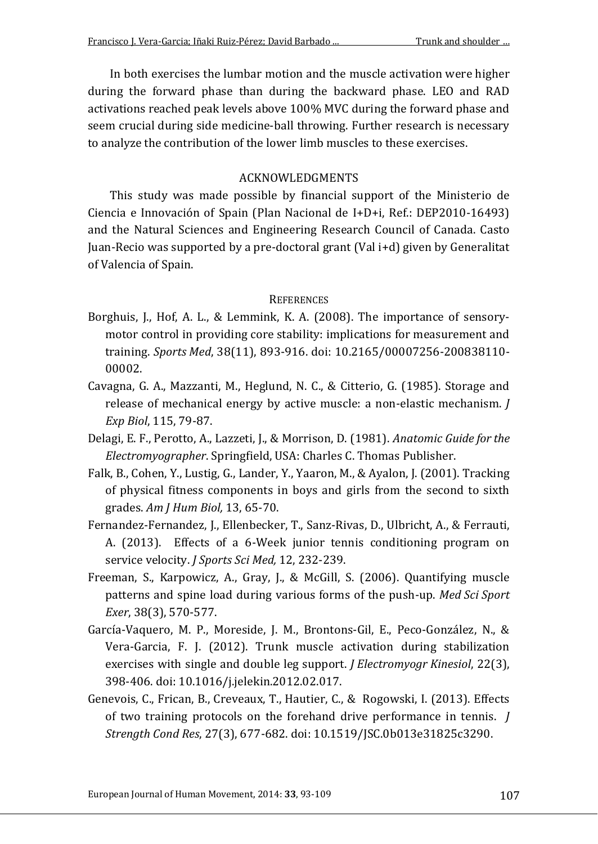In both exercises the lumbar motion and the muscle activation were higher during the forward phase than during the backward phase. LEO and RAD activations reached peak levels above 100% MVC during the forward phase and seem crucial during side medicine-ball throwing. Further research is necessary to analyze the contribution of the lower limb muscles to these exercises.

# ACKNOWLEDGMENTS

This study was made possible by financial support of the Ministerio de Ciencia e Innovación of Spain (Plan Nacional de I+D+i, Ref.: DEP2010-16493) and the Natural Sciences and Engineering Research Council of Canada. Casto Juan-Recio was supported by a pre-doctoral grant (Val i+d) given by Generalitat of Valencia of Spain.

### **REFERENCES**

- Borghuis, J., Hof, A. L., & Lemmink, K. A. (2008). The importance of sensorymotor control in providing core stability: implications for measurement and training. *Sports Med*, 38(11), 893-916. doi: 10.2165/00007256-200838110- 00002.
- Cavagna, G. A., Mazzanti, M., Heglund, N. C., & Citterio, G. (1985). Storage and release of mechanical energy by active muscle: a non-elastic mechanism. *J Exp Biol*, 115, 79-87.
- Delagi, E. F., Perotto, A., Lazzeti, J., & Morrison, D. (1981). *Anatomic Guide for the Electromyographer*. Springfield, USA: Charles C. Thomas Publisher.
- Falk, B., Cohen, Y., Lustig, G., Lander, Y., Yaaron, M., & Ayalon, J. (2001). Tracking of physical fitness components in boys and girls from the second to sixth grades. *Am J Hum Biol,* 13, 65-70.
- Fernandez-Fernandez, J., Ellenbecker, T., Sanz-Rivas, D., Ulbricht, A., & Ferrauti, A. (2013). Effects of a 6-Week junior tennis conditioning program on service velocity. *J Sports Sci Med,* 12, 232-239.
- Freeman, S., Karpowicz, A., Gray, J., & McGill, S. (2006). Quantifying muscle patterns and spine load during various forms of the push-up. *Med Sci Sport Exer*, 38(3), 570-577.
- García-Vaquero, M. P., Moreside, J. M., Brontons-Gil, E., Peco-González, N., & Vera-Garcia, F. J. (2012). Trunk muscle activation during stabilization exercises with single and double leg support. *J Electromyogr Kinesiol*, 22(3), 398-406. doi: 10.1016/j.jelekin.2012.02.017.
- Genevois, C., Frican, B., Creveaux, T., Hautier, C., & Rogowski, I. (2013). Effects of two training protocols on the forehand drive performance in tennis. *J Strength Cond Res*, 27(3), 677-682. doi: 10.1519/JSC.0b013e31825c3290.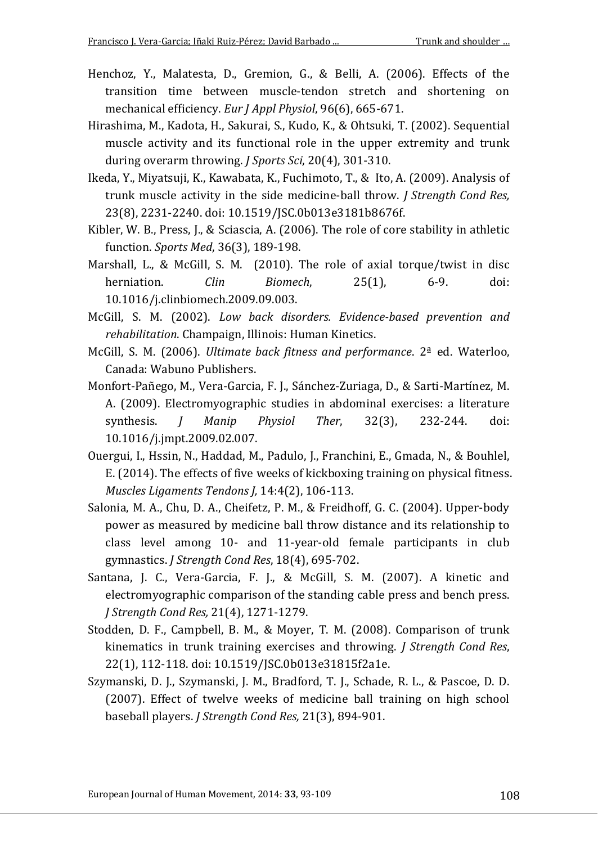- Henchoz, Y., Malatesta, D., Gremion, G., & Belli, A. (2006). Effects of the transition time between muscle-tendon stretch and shortening on mechanical efficiency. *Eur J Appl Physiol*, 96(6), 665-671.
- Hirashima, M., Kadota, H., Sakurai, S., Kudo, K., & Ohtsuki, T. (2002). Sequential muscle activity and its functional role in the upper extremity and trunk during overarm throwing. *J Sports Sci*, 20(4), 301-310.
- Ikeda, Y., Miyatsuji, K., Kawabata, K., Fuchimoto, T., & Ito, A. (2009). Analysis of trunk muscle activity in the side medicine-ball throw. *J Strength Cond Res,*  23(8), 2231-2240. doi: 10.1519/JSC.0b013e3181b8676f.
- Kibler, W. B., Press, J., & Sciascia, A. (2006). The role of core stability in athletic function. *Sports Med*, 36(3), 189-198.
- Marshall, L., & McGill, S. M. (2010). The role of axial torque/twist in disc herniation. *Clin Biomech*, 25(1), 6-9. doi: 10.1016/j.clinbiomech.2009.09.003.
- McGill, S. M. (2002). *Low back disorders. Evidence-based prevention and rehabilitation*. Champaign, Illinois: Human Kinetics.
- McGill, S. M. (2006). *Ultimate back fitness and performance*. 2ª ed. Waterloo, Canada: Wabuno Publishers.
- Monfort-Pañego, M., Vera-Garcia, F. J., Sánchez-Zuriaga, D., & Sarti-Martínez, M. A. (2009). Electromyographic studies in abdominal exercises: a literature synthesis. *J Manip Physiol Ther*, 32(3), 232-244. doi: 10.1016/j.jmpt.2009.02.007.
- Ouergui, I., Hssin, N., Haddad, M., Padulo, J., Franchini, E., Gmada, N., & Bouhlel, E. (2014). The effects of five weeks of kickboxing training on physical fitness. *Muscles Ligaments Tendons J,* 14:4(2), 106-113.
- Salonia, M. A., Chu, D. A., Cheifetz, P. M., & Freidhoff, G. C. (2004). Upper-body power as measured by medicine ball throw distance and its relationship to class level among 10- and 11-year-old female participants in club gymnastics. *J Strength Cond Res*, 18(4), 695-702.
- Santana, J. C., Vera-Garcia, F. J., & McGill, S. M. (2007). A kinetic and electromyographic comparison of the standing cable press and bench press. *J Strength Cond Res,* 21(4), 1271-1279.
- Stodden, D. F., Campbell, B. M., & Moyer, T. M. (2008). Comparison of trunk kinematics in trunk training exercises and throwing. *J Strength Cond Res*, 22(1), 112-118. doi: 10.1519/JSC.0b013e31815f2a1e.
- Szymanski, D. J., Szymanski, J. M., Bradford, T. J., Schade, R. L., & Pascoe, D. D. (2007). Effect of twelve weeks of medicine ball training on high school baseball players. *J Strength Cond Res,* 21(3), 894-901.